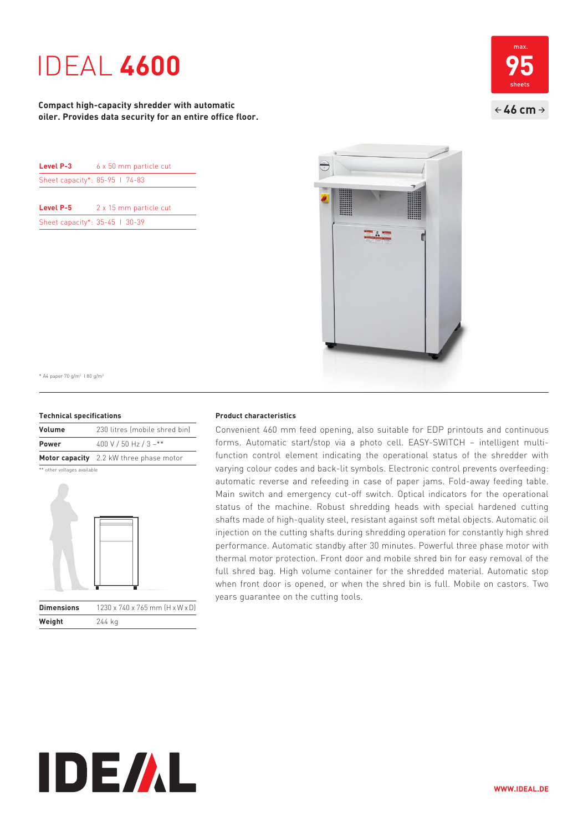# IDEAL **4600**

**Compact high-capacity shredder with automatic oiler. Provides data security for an entire office floor.**

| Level P-3                      | 6 x 50 mm particle cut |
|--------------------------------|------------------------|
| Sheet capacity*: 85-95 1 74-83 |                        |
|                                |                        |

**Level P-5** 2 x 15 mm particle cut Sheet capacity\*: 35-45 | 30-39





\* A4 paper 70 g/m2 I 80 g/m2

### **Technical specifications**

| Volume       | 230 litres (mobile shred bin)           |
|--------------|-----------------------------------------|
| <b>Power</b> | 400 V / 50 Hz / 3 ~**                   |
|              | Motor capacity 2.2 kW three phase motor |

\*\* other voltages available

**Weight** 244 kg



## **Product characteristics**

Convenient 460 mm feed opening, also suitable for EDP printouts and continuous forms. Automatic start/stop via a photo cell. EASY-SWITCH - intelligent multifunction control element indicating the operational status of the shredder with varying colour codes and back-lit symbols. Electronic control prevents overfeeding: automatic reverse and refeeding in case of paper jams. Fold-away feeding table. Main switch and emergency cut-off switch. Optical indicators for the operational status of the machine. Robust shredding heads with special hardened cutting shafts made of high-quality steel, resistant against soft metal objects. Automatic oil injection on the cutting shafts during shredding operation for constantly high shred performance. Automatic standby after 30 minutes. Powerful three phase motor with thermal motor protection. Front door and mobile shred bin for easy removal of the full shred bag. High volume container for the shredded material. Automatic stop when front door is opened, or when the shred bin is full. Mobile on castors. Two years guarantee on the cutting tools.